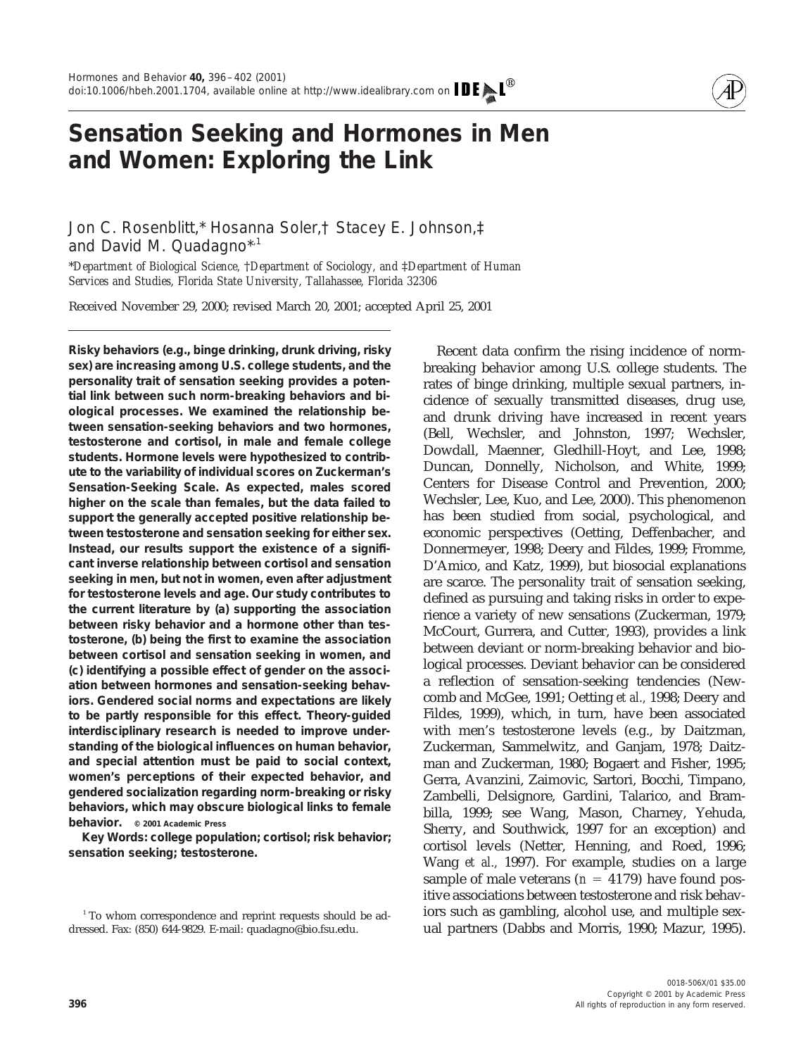

## **Sensation Seeking and Hormones in Men and Women: Exploring the Link**

Jon C. Rosenblitt,\* Hosanna Soler,† Stacey E. Johnson,‡ and David M. Quadagno\*,1

\**Department of Biological Science,* †*Department of Sociology, and* ‡*Department of Human Services and Studies, Florida State University, Tallahassee, Florida 32306*

Received November 29, 2000; revised March 20, 2001; accepted April 25, 2001

**Risky behaviors (e.g., binge drinking, drunk driving, risky sex) are increasing among U.S. college students, and the personality trait of** *sensation seeking* **provides a potential link between such norm-breaking behaviors and biological processes. We examined the relationship between sensation-seeking behaviors and two hormones, testosterone and cortisol, in male and female college students. Hormone levels were hypothesized to contribute to the variability of individual scores on Zuckerman's Sensation-Seeking Scale. As expected, males scored higher on the scale than females, but the data failed to support the generally accepted positive relationship between testosterone and sensation seeking for either sex. Instead, our results support the existence of a significant inverse relationship between cortisol and sensation seeking in men, but not in women, even after adjustment for testosterone levels and age. Our study contributes to the current literature by (a) supporting the association between risky behavior and a hormone other than testosterone, (b) being the first to examine the association between cortisol and sensation seeking in women, and (c) identifying a possible effect of gender on the association between hormones and sensation-seeking behaviors. Gendered social norms and expectations are likely to be partly responsible for this effect. Theory-guided interdisciplinary research is needed to improve understanding of the biological influences on human behavior, and special attention must be paid to social context, women's perceptions of their expected behavior, and gendered socialization regarding norm-breaking or risky behaviors, which may obscure biological links to female behavior. © 2001 Academic Press**

*Key Words:* **college population; cortisol; risk behavior; sensation seeking; testosterone.**

Recent data confirm the rising incidence of normbreaking behavior among U.S. college students. The rates of binge drinking, multiple sexual partners, incidence of sexually transmitted diseases, drug use, and drunk driving have increased in recent years (Bell, Wechsler, and Johnston, 1997; Wechsler, Dowdall, Maenner, Gledhill-Hoyt, and Lee, 1998; Duncan, Donnelly, Nicholson, and White, 1999; Centers for Disease Control and Prevention, 2000; Wechsler, Lee, Kuo, and Lee, 2000). This phenomenon has been studied from social, psychological, and economic perspectives (Oetting, Deffenbacher, and Donnermeyer, 1998; Deery and Fildes, 1999; Fromme, D'Amico, and Katz, 1999), but biosocial explanations are scarce. The personality trait of sensation seeking, defined as pursuing and taking risks in order to experience a variety of new sensations (Zuckerman, 1979; McCourt, Gurrera, and Cutter, 1993), provides a link between deviant or norm-breaking behavior and biological processes. Deviant behavior can be considered a reflection of sensation-seeking tendencies (Newcomb and McGee, 1991; Oetting *et al.,* 1998; Deery and Fildes, 1999), which, in turn, have been associated with men's testosterone levels (e.g., by Daitzman, Zuckerman, Sammelwitz, and Ganjam, 1978; Daitzman and Zuckerman, 1980; Bogaert and Fisher, 1995; Gerra, Avanzini, Zaimovic, Sartori, Bocchi, Timpano, Zambelli, Delsignore, Gardini, Talarico, and Brambilla, 1999; see Wang, Mason, Charney, Yehuda, Sherry, and Southwick, 1997 for an exception) and cortisol levels (Netter, Henning, and Roed, 1996; Wang *et al.,* 1997). For example, studies on a large sample of male veterans  $(n = 4179)$  have found positive associations between testosterone and risk behaviors such as gambling, alcohol use, and multiple sexual partners (Dabbs and Morris, 1990; Mazur, 1995).

<sup>&</sup>lt;sup>1</sup> To whom correspondence and reprint requests should be addressed. Fax: (850) 644-9829. E-mail: quadagno@bio.fsu.edu.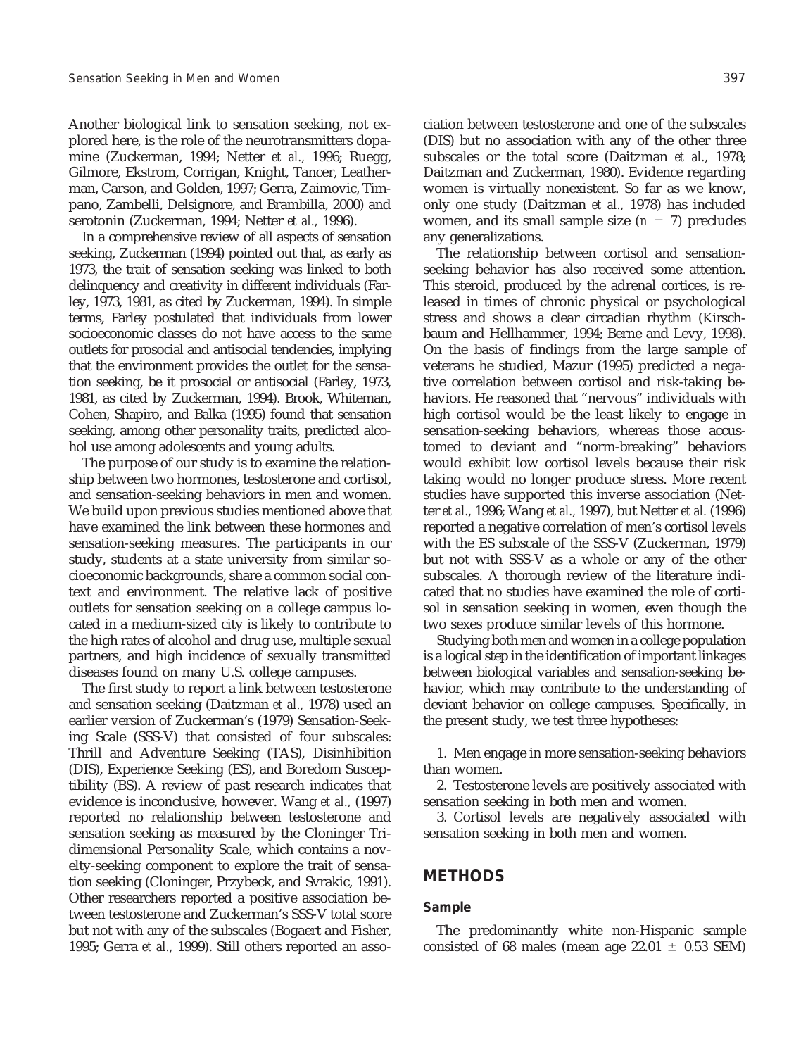Another biological link to sensation seeking, not explored here, is the role of the neurotransmitters dopamine (Zuckerman, 1994; Netter *et al.,* 1996; Ruegg, Gilmore, Ekstrom, Corrigan, Knight, Tancer, Leatherman, Carson, and Golden, 1997; Gerra, Zaimovic, Timpano, Zambelli, Delsignore, and Brambilla, 2000) and serotonin (Zuckerman, 1994; Netter *et al.,* 1996).

In a comprehensive review of all aspects of sensation seeking, Zuckerman (1994) pointed out that, as early as 1973, the trait of sensation seeking was linked to both delinquency and creativity in different individuals (Farley, 1973, 1981, as cited by Zuckerman, 1994). In simple terms, Farley postulated that individuals from lower socioeconomic classes do not have access to the same outlets for prosocial and antisocial tendencies, implying that the environment provides the outlet for the sensation seeking, be it prosocial or antisocial (Farley, 1973, 1981, as cited by Zuckerman, 1994). Brook, Whiteman, Cohen, Shapiro, and Balka (1995) found that sensation seeking, among other personality traits, predicted alcohol use among adolescents and young adults.

The purpose of our study is to examine the relationship between two hormones, testosterone and cortisol, and sensation-seeking behaviors in men and women. We build upon previous studies mentioned above that have examined the link between these hormones and sensation-seeking measures. The participants in our study, students at a state university from similar socioeconomic backgrounds, share a common social context and environment. The relative lack of positive outlets for sensation seeking on a college campus located in a medium-sized city is likely to contribute to the high rates of alcohol and drug use, multiple sexual partners, and high incidence of sexually transmitted diseases found on many U.S. college campuses.

The first study to report a link between testosterone and sensation seeking (Daitzman *et al.,* 1978) used an earlier version of Zuckerman's (1979) Sensation-Seeking Scale (SSS-V) that consisted of four subscales: Thrill and Adventure Seeking (TAS), Disinhibition (DIS), Experience Seeking (ES), and Boredom Susceptibility (BS). A review of past research indicates that evidence is inconclusive, however. Wang *et al.,* (1997) reported no relationship between testosterone and sensation seeking as measured by the Cloninger Tridimensional Personality Scale, which contains a novelty-seeking component to explore the trait of sensation seeking (Cloninger, Przybeck, and Svrakic, 1991). Other researchers reported a positive association between testosterone and Zuckerman's SSS-V total score but not with any of the subscales (Bogaert and Fisher, 1995; Gerra *et al.,* 1999). Still others reported an association between testosterone and one of the subscales (DIS) but no association with any of the other three subscales or the total score (Daitzman *et al.,* 1978; Daitzman and Zuckerman, 1980). Evidence regarding women is virtually nonexistent. So far as we know, only one study (Daitzman *et al.,* 1978) has included women, and its small sample size  $(n = 7)$  precludes any generalizations.

The relationship between cortisol and sensationseeking behavior has also received some attention. This steroid, produced by the adrenal cortices, is released in times of chronic physical or psychological stress and shows a clear circadian rhythm (Kirschbaum and Hellhammer, 1994; Berne and Levy, 1998). On the basis of findings from the large sample of veterans he studied, Mazur (1995) predicted a negative correlation between cortisol and risk-taking behaviors. He reasoned that "nervous" individuals with high cortisol would be the least likely to engage in sensation-seeking behaviors, whereas those accustomed to deviant and "norm-breaking" behaviors would exhibit low cortisol levels because their risk taking would no longer produce stress. More recent studies have supported this inverse association (Netter *et al.,* 1996; Wang *et al.,* 1997), but Netter *et al.* (1996) reported a negative correlation of men's cortisol levels with the ES subscale of the SSS-V (Zuckerman, 1979) but not with SSS-V as a whole or any of the other subscales. A thorough review of the literature indicated that no studies have examined the role of cortisol in sensation seeking in women, even though the two sexes produce similar levels of this hormone.

Studying both men *and* women in a college population is a logical step in the identification of important linkages between biological variables and sensation-seeking behavior, which may contribute to the understanding of deviant behavior on college campuses. Specifically, in the present study, we test three hypotheses:

1. Men engage in more sensation-seeking behaviors than women.

2. Testosterone levels are positively associated with sensation seeking in both men and women.

3. Cortisol levels are negatively associated with sensation seeking in both men and women.

## **METHODS**

## *Sample*

The predominantly white non-Hispanic sample consisted of 68 males (mean age 22.01  $\pm$  0.53 SEM)